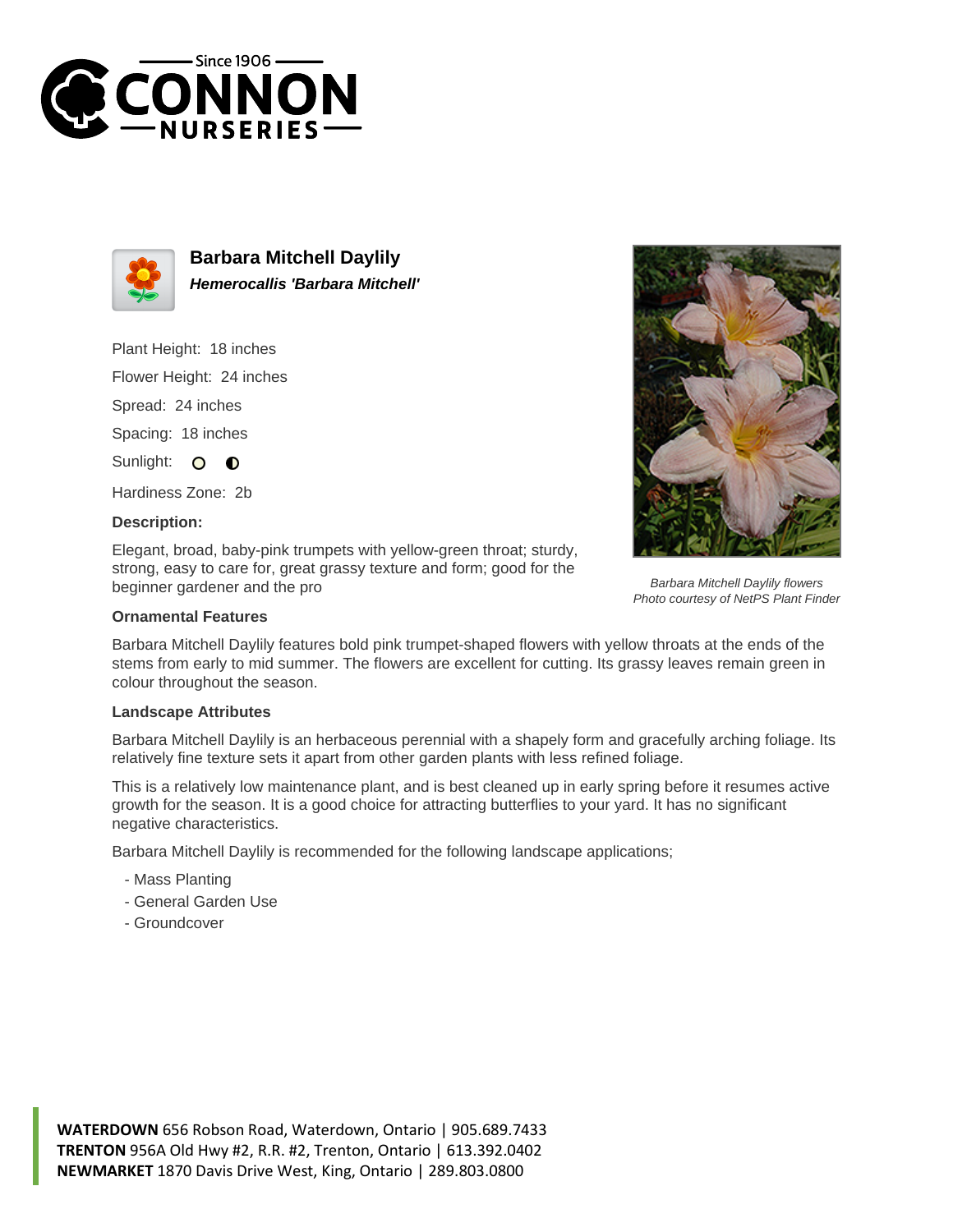



**Barbara Mitchell Daylily Hemerocallis 'Barbara Mitchell'**

Plant Height: 18 inches

Flower Height: 24 inches

Spread: 24 inches

Spacing: 18 inches

Sunlight: O  $\bullet$ 

Hardiness Zone: 2b

## **Description:**

Elegant, broad, baby-pink trumpets with yellow-green throat; sturdy, strong, easy to care for, great grassy texture and form; good for the beginner gardener and the pro

## **Ornamental Features**

Barbara Mitchell Daylily features bold pink trumpet-shaped flowers with yellow throats at the ends of the stems from early to mid summer. The flowers are excellent for cutting. Its grassy leaves remain green in colour throughout the season.

## **Landscape Attributes**

Barbara Mitchell Daylily is an herbaceous perennial with a shapely form and gracefully arching foliage. Its relatively fine texture sets it apart from other garden plants with less refined foliage.

This is a relatively low maintenance plant, and is best cleaned up in early spring before it resumes active growth for the season. It is a good choice for attracting butterflies to your yard. It has no significant negative characteristics.

Barbara Mitchell Daylily is recommended for the following landscape applications;

- Mass Planting
- General Garden Use
- Groundcover



Barbara Mitchell Daylily flowers Photo courtesy of NetPS Plant Finder